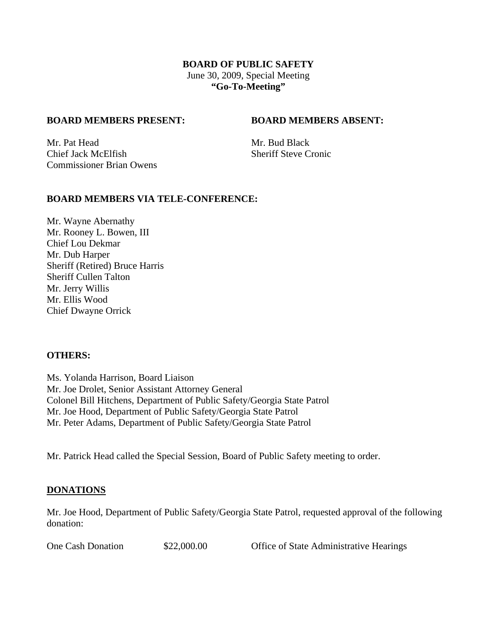## **BOARD OF PUBLIC SAFETY**  June 30, 2009, Special Meeting **"Go-To-Meeting"**

#### **BOARD MEMBERS PRESENT: BOARD MEMBERS ABSENT:**

Mr. Pat Head Mr. Bud Black **Chief Jack McElfish Sheriff Steve Cronic** Commissioner Brian Owens

## **BOARD MEMBERS VIA TELE-CONFERENCE:**

Mr. Wayne Abernathy Mr. Rooney L. Bowen, III Chief Lou Dekmar Mr. Dub Harper Sheriff (Retired) Bruce Harris Sheriff Cullen Talton Mr. Jerry Willis Mr. Ellis Wood Chief Dwayne Orrick

#### **OTHERS:**

Ms. Yolanda Harrison, Board Liaison Mr. Joe Drolet, Senior Assistant Attorney General Colonel Bill Hitchens, Department of Public Safety/Georgia State Patrol Mr. Joe Hood, Department of Public Safety/Georgia State Patrol Mr. Peter Adams, Department of Public Safety/Georgia State Patrol

Mr. Patrick Head called the Special Session, Board of Public Safety meeting to order.

## **DONATIONS**

Mr. Joe Hood, Department of Public Safety/Georgia State Patrol, requested approval of the following donation:

One Cash Donation  $$22,000.00$  Office of State Administrative Hearings